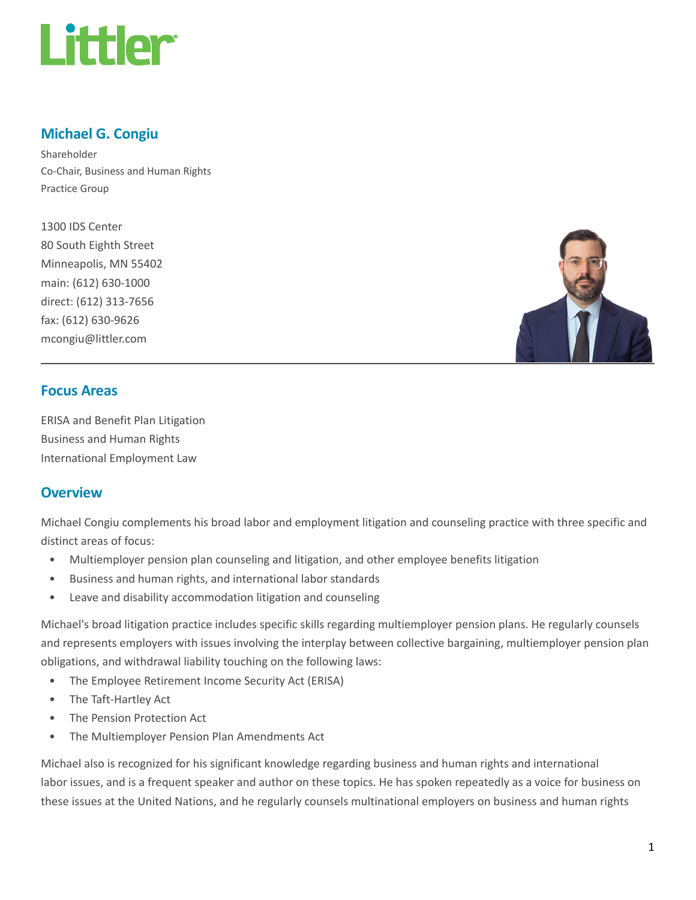

## Michael G. Congiu

Shareholder Co-Chair, Business and Human Rights Practice Group

1300 IDS Center 80 South Eighth Street Minneapolis, MN 55402 main: (612) 630-1000 direct: (612) 313-7656 fax: (612) 630-9626 mcongiu@littler.com



## Focus Areas

ERISA and Benefit Plan Litigation Business and Human Rights International Employment Law

## **Overview**

Michael Congiu complements his broad labor and employment litigation and counseling practice with three specific and distinct areas of focus:

- Multiemployer pension plan counseling and litigation, and other employee benefits litigation
- Business and human rights, and international labor standards
- Leave and disability accommodation litigation and counseling

Michael's broad litigation practice includes specific skills regarding multiemployer pension plans. He regularly counsels and represents employers with issues involving the interplay between collective bargaining, multiemployer pension plan obligations, and withdrawal liability touching on the following laws:

- The Employee Retirement Income Security Act (ERISA)
- The Taft-Hartley Act
- The Pension Protection Act
- The Multiemployer Pension Plan Amendments Act

Michael also is recognized for his significant knowledge regarding business and human rights and international labor issues, and is a frequent speaker and author on these topics. He has spoken repeatedly as a voice for business on these issues at the United Nations, and he regularly counsels multinational employers on business and human rights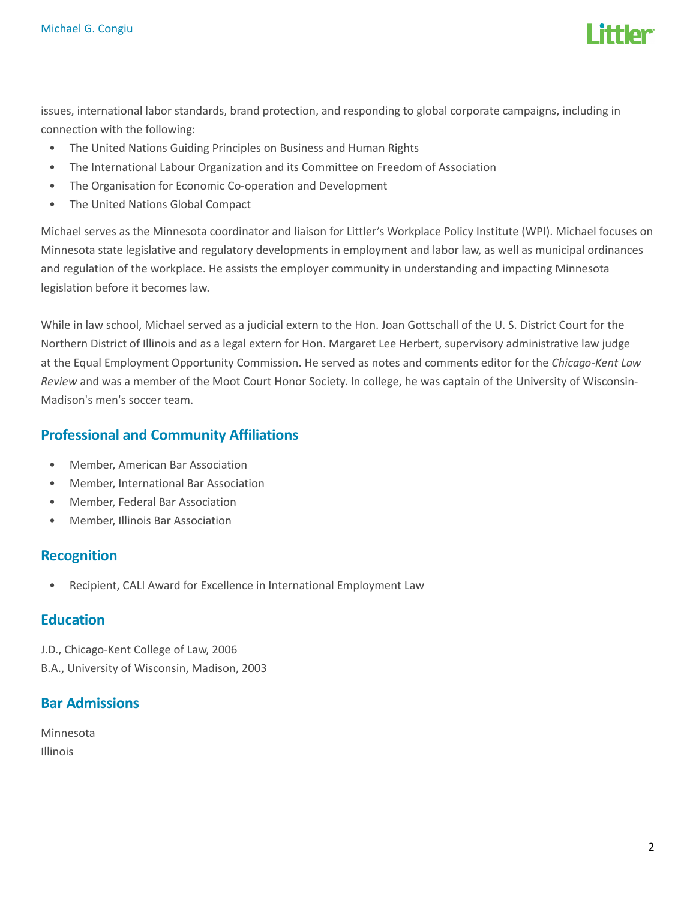

issues, international labor standards, brand protection, and responding to global corporate campaigns, including in connection with the following:

- The United Nations Guiding Principles on Business and Human Rights
- The International Labour Organization and its Committee on Freedom of Association
- The Organisation for Economic Co-operation and Development
- The United Nations Global Compact

Michael serves as the Minnesota coordinator and liaison for Littler's Workplace Policy Institute (WPI). Michael focuses on Minnesota state legislative and regulatory developments in employment and labor law, as well as municipal ordinances and regulation of the workplace. He assists the employer community in understanding and impacting Minnesota legislation before it becomes law.

While in law school, Michael served as a judicial extern to the Hon. Joan Gottschall of the U. S. District Court for the Northern District of Illinois and as a legal extern for Hon. Margaret Lee Herbert, supervisory administrative law judge at the Equal Employment Opportunity Commission. He served as notes and comments editor for the Chicago-Kent Law Review and was a member of the Moot Court Honor Society. In college, he was captain of the University of Wisconsin-Madison's men's soccer team.

## Professional and Community Affiliations

- Member, American Bar Association
- Member, International Bar Association
- Member, Federal Bar Association
- Member, Illinois Bar Association

## Recognition

• Recipient, CALI Award for Excellence in International Employment Law

## **Education**

J.D., Chicago-Kent College of Law, 2006 B.A., University of Wisconsin, Madison, 2003

## Bar Admissions

Minnesota Illinois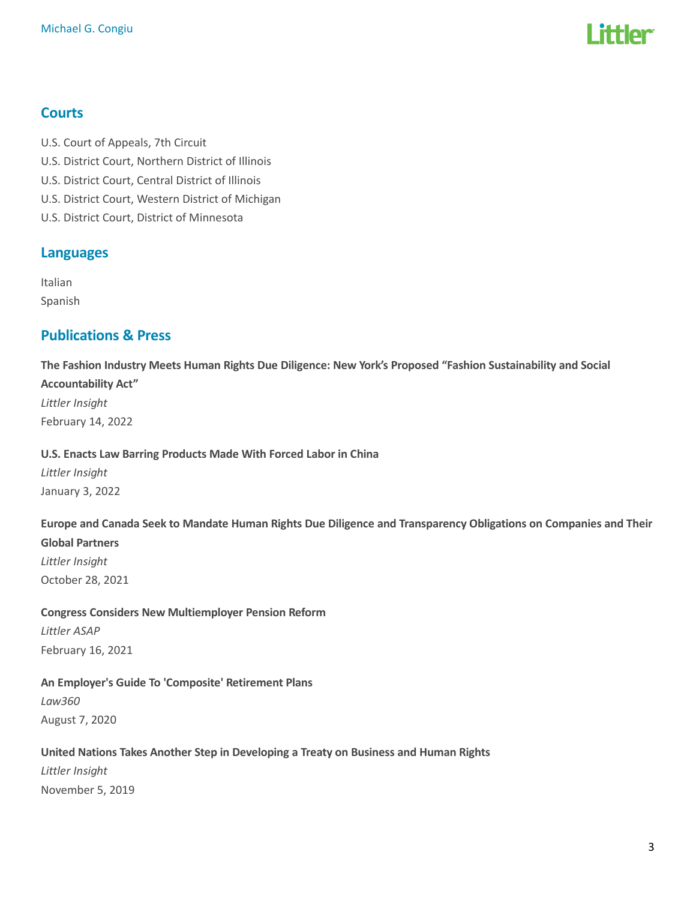

## **Courts**

- U.S. Court of Appeals, 7th Circuit
- U.S. District Court, Northern District of Illinois
- U.S. District Court, Central District of Illinois
- U.S. District Court, Western District of Michigan
- U.S. District Court, District of Minnesota

## Languages

Italian Spanish

## Publications & Press

The Fashion Industry Meets Human Rights Due Diligence: New York's Proposed "Fashion Sustainability and Social Accountability Act" Littler Insight

February 14, 2022

#### U.S. Enacts Law Barring Products Made With Forced Labor in China

Littler Insight January 3, 2022

## Europe and Canada Seek to Mandate Human Rights Due Diligence and Transparency Obligations on Companies and Their

Global Partners

Littler Insight October 28, 2021

## Congress Considers New Multiemployer Pension Reform

Littler ASAP February 16, 2021

#### An Employer's Guide To 'Composite' Retirement Plans

Law360 August 7, 2020

#### United Nations Takes Another Step in Developing a Treaty on Business and Human Rights

Littler Insight November 5, 2019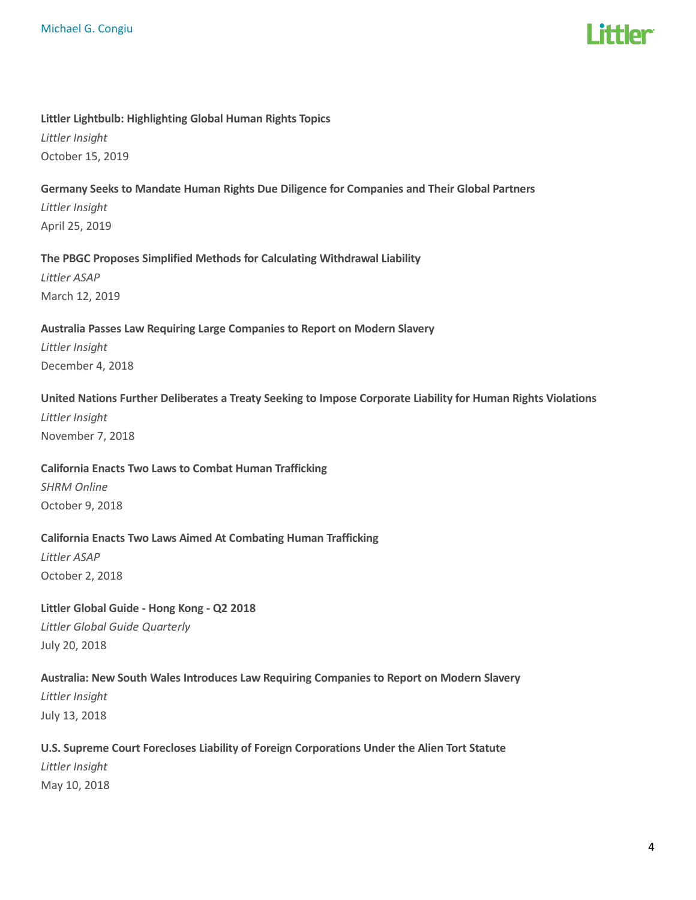# **ittlor**

#### Littler Lightbulb: Highlighting Global Human Rights Topics

Littler Insight October 15, 2019

#### Germany Seeks to Mandate Human Rights Due Diligence for Companies and Their Global Partners

Littler Insight April 25, 2019

#### The PBGC Proposes Simplified Methods for Calculating Withdrawal Liability

Littler ASAP March 12, 2019

#### Australia Passes Law Requiring Large Companies to Report on Modern Slavery

Littler Insight December 4, 2018

#### United Nations Further Deliberates a Treaty Seeking to Impose Corporate Liability for Human Rights Violations

Littler Insight November 7, 2018

#### California Enacts Two Laws to Combat Human Trafficking

SHRM Online October 9, 2018

## California Enacts Two Laws Aimed At Combating Human Trafficking

Littler ASAP October 2, 2018

Littler Global Guide - Hong Kong - Q2 2018 Littler Global Guide Quarterly July 20, 2018

## Australia: New South Wales Introduces Law Requiring Companies to Report on Modern Slavery Littler Insight July 13, 2018

## U.S. Supreme Court Forecloses Liability of Foreign Corporations Under the Alien Tort Statute Littler Insight May 10, 2018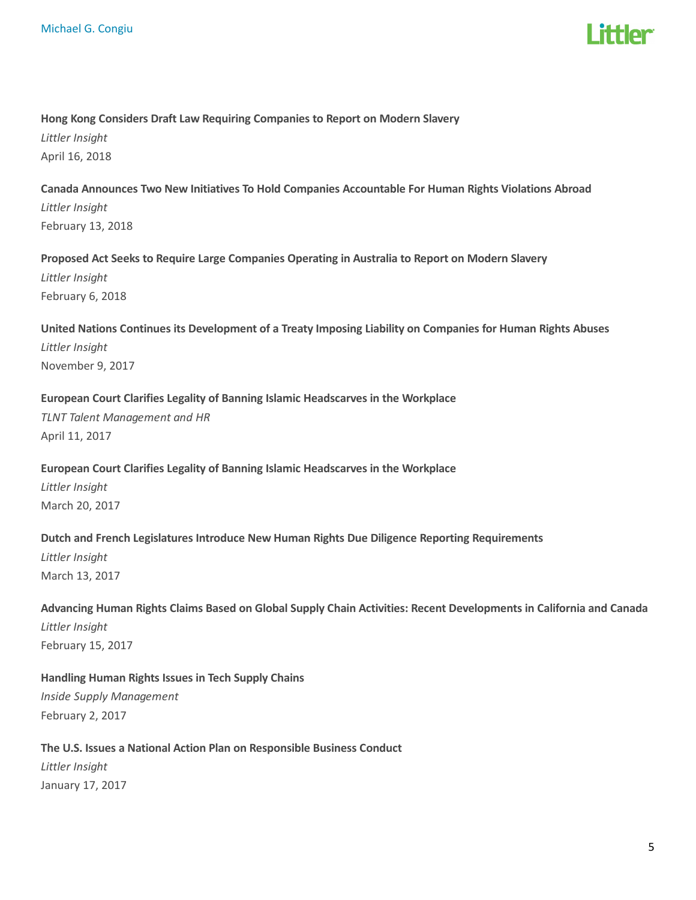

#### Hong Kong Considers Draft Law Requiring Companies to Report on Modern Slavery

Littler Insight April 16, 2018

Canada Announces Two New Initiatives To Hold Companies Accountable For Human Rights Violations Abroad Littler Insight February 13, 2018

Proposed Act Seeks to Require Large Companies Operating in Australia to Report on Modern Slavery Littler Insight February 6, 2018

United Nations Continues its Development of a Treaty Imposing Liability on Companies for Human Rights Abuses Littler Insight November 9, 2017

#### European Court Clarifies Legality of Banning Islamic Headscarves in the Workplace

TLNT Talent Management and HR April 11, 2017

#### European Court Clarifies Legality of Banning Islamic Headscarves in the Workplace

Littler Insight March 20, 2017

#### Dutch and French Legislatures Introduce New Human Rights Due Diligence Reporting Requirements

Littler Insight March 13, 2017

Advancing Human Rights Claims Based on Global Supply Chain Activities: Recent Developments in California and Canada Littler Insight February 15, 2017

Handling Human Rights Issues in Tech Supply Chains Inside Supply Management

February 2, 2017

## The U.S. Issues a National Action Plan on Responsible Business Conduct Littler Insight January 17, 2017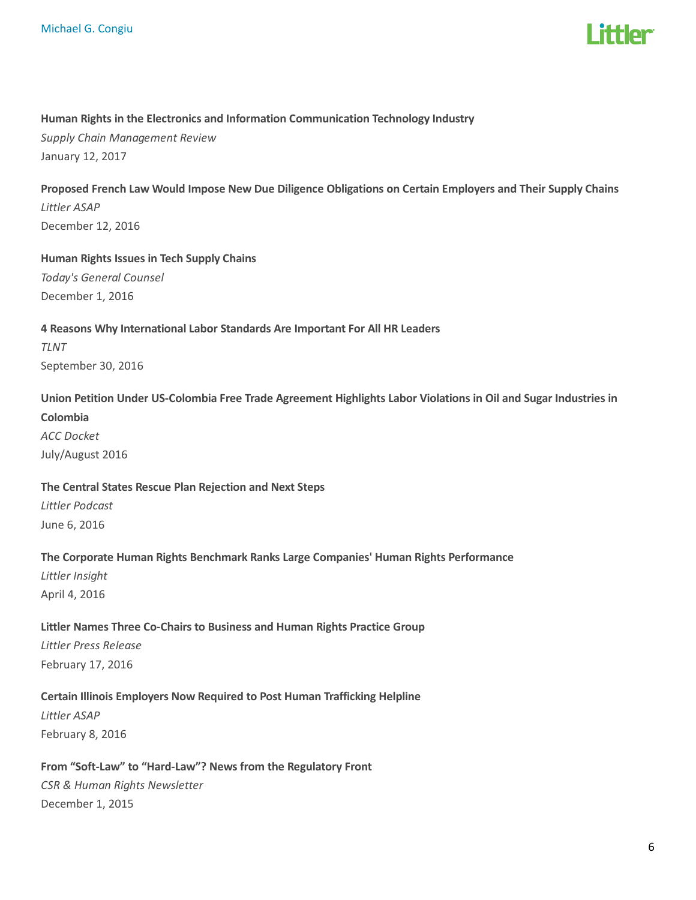

#### Human Rights in the Electronics and Information Communication Technology Industry

Supply Chain Management Review January 12, 2017

## Proposed French Law Would Impose New Due Diligence Obligations on Certain Employers and Their Supply Chains Littler ASAP December 12, 2016

## Human Rights Issues in Tech Supply Chains

Today's General Counsel December 1, 2016

## 4 Reasons Why International Labor Standards Are Important For All HR Leaders

TLNT September 30, 2016

## Union Petition Under US-Colombia Free Trade Agreement Highlights Labor Violations in Oil and Sugar Industries in Colombia ACC Docket

July/August 2016

## The Central States Rescue Plan Rejection and Next Steps

Littler Podcast June 6, 2016

## The Corporate Human Rights Benchmark Ranks Large Companies' Human Rights Performance

Littler Insight April 4, 2016

## Littler Names Three Co-Chairs to Business and Human Rights Practice Group Littler Press Release February 17, 2016

## Certain Illinois Employers Now Required to Post Human Trafficking Helpline

Littler ASAP February 8, 2016

## From "Soft-Law" to "Hard-Law"? News from the Regulatory Front CSR & Human Rights Newsletter December 1, 2015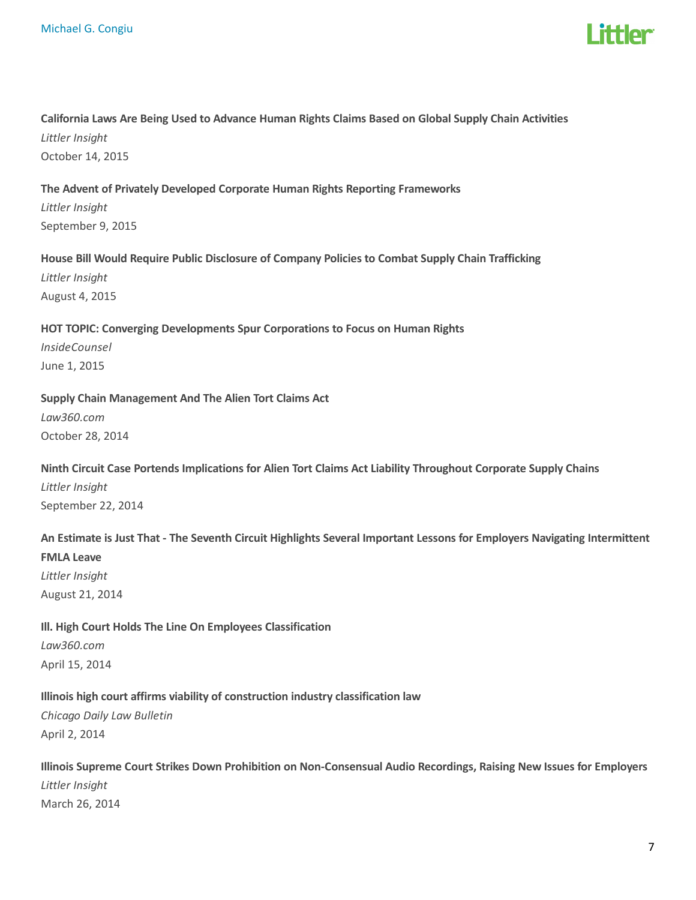

## California Laws Are Being Used to Advance Human Rights Claims Based on Global Supply Chain Activities Littler Insight

October 14, 2015

#### The Advent of Privately Developed Corporate Human Rights Reporting Frameworks

Littler Insight September 9, 2015

#### House Bill Would Require Public Disclosure of Company Policies to Combat Supply Chain Trafficking

Littler Insight August 4, 2015

#### HOT TOPIC: Converging Developments Spur Corporations to Focus on Human Rights

InsideCounsel June 1, 2015

#### Supply Chain Management And The Alien Tort Claims Act

Law360.com October 28, 2014

## Ninth Circuit Case Portends Implications for Alien Tort Claims Act Liability Throughout Corporate Supply Chains Littler Insight

September 22, 2014

## An Estimate is Just That - The Seventh Circuit Highlights Several Important Lessons for Employers Navigating Intermittent FMLA Leave

Littler Insight August 21, 2014

## Ill. High Court Holds The Line On Employees Classification Law360.com April 15, 2014

## Illinois high court affirms viability of construction industry classification law

Chicago Daily Law Bulletin April 2, 2014

## Illinois Supreme Court Strikes Down Prohibition on Non-Consensual Audio Recordings, Raising New Issues for Employers Littler Insight March 26, 2014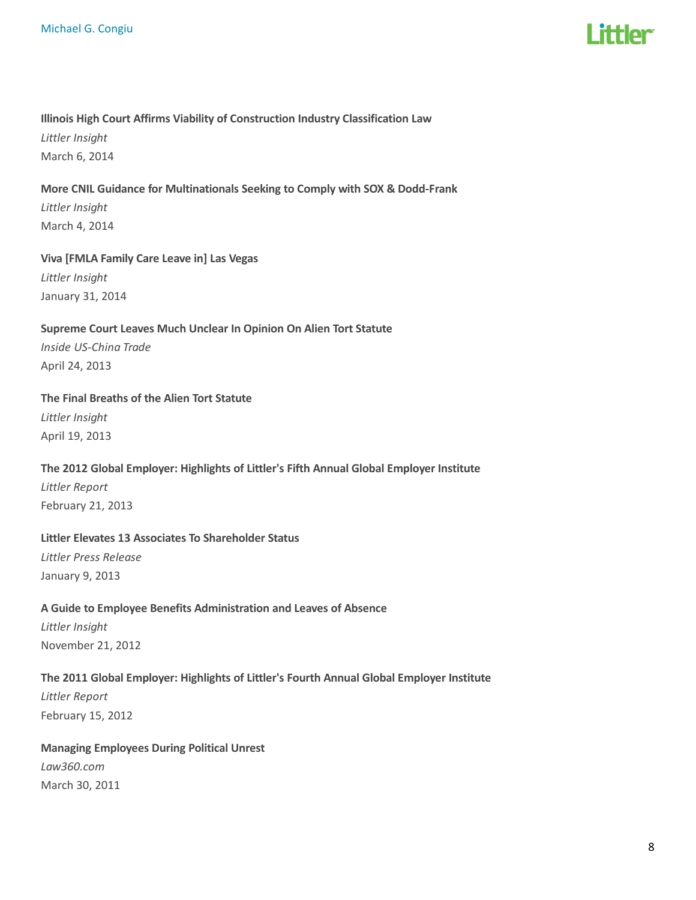

#### Illinois High Court Affirms Viability of Construction Industry Classification Law

Littler Insight March 6, 2014

## More CNIL Guidance for Multinationals Seeking to Comply with SOX & Dodd-Frank Littler Insight March 4, 2014

## Viva [FMLA Family Care Leave in] Las Vegas

Littler Insight January 31, 2014

## Supreme Court Leaves Much Unclear In Opinion On Alien Tort Statute Inside US-China Trade

April 24, 2013

#### The Final Breaths of the Alien Tort Statute

Littler Insight April 19, 2013

## The 2012 Global Employer: Highlights of Littler's Fifth Annual Global Employer Institute

Littler Report February 21, 2013

## Littler Elevates 13 Associates To Shareholder Status

Littler Press Release January 9, 2013

## A Guide to Employee Benefits Administration and Leaves of Absence Littler Insight

November 21, 2012

## The 2011 Global Employer: Highlights of Littler's Fourth Annual Global Employer Institute

Littler Report February 15, 2012

## Managing Employees During Political Unrest

Law360.com March 30, 2011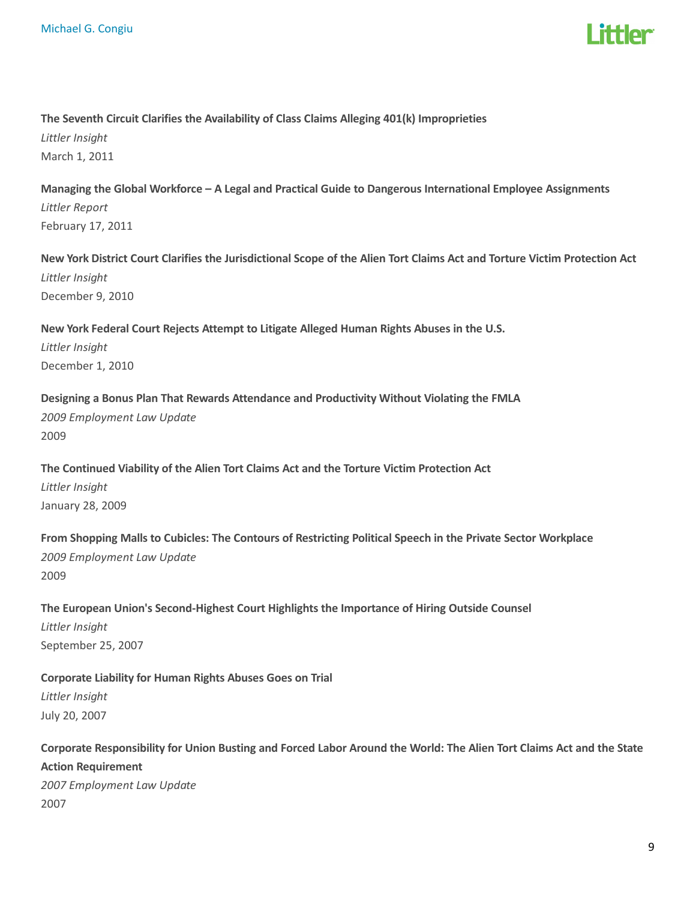

#### The Seventh Circuit Clarifies the Availability of Class Claims Alleging 401(k) Improprieties

Littler Insight March 1, 2011

Managing the Global Workforce – A Legal and Practical Guide to Dangerous International Employee Assignments Littler Report February 17, 2011

New York District Court Clarifies the Jurisdictional Scope of the Alien Tort Claims Act and Torture Victim Protection Act Littler Insight December 9, 2010

New York Federal Court Rejects Attempt to Litigate Alleged Human Rights Abuses in the U.S. Littler Insight December 1, 2010

Designing a Bonus Plan That Rewards Attendance and Productivity Without Violating the FMLA 2009 Employment Law Update 2009

The Continued Viability of the Alien Tort Claims Act and the Torture Victim Protection Act Littler Insight January 28, 2009

From Shopping Malls to Cubicles: The Contours of Restricting Political Speech in the Private Sector Workplace 2009 Employment Law Update 2009

The European Union's Second-Highest Court Highlights the Importance of Hiring Outside Counsel Littler Insight September 25, 2007

Corporate Liability for Human Rights Abuses Goes on Trial Littler Insight July 20, 2007

Corporate Responsibility for Union Busting and Forced Labor Around the World: The Alien Tort Claims Act and the State Action Requirement 2007 Employment Law Update 2007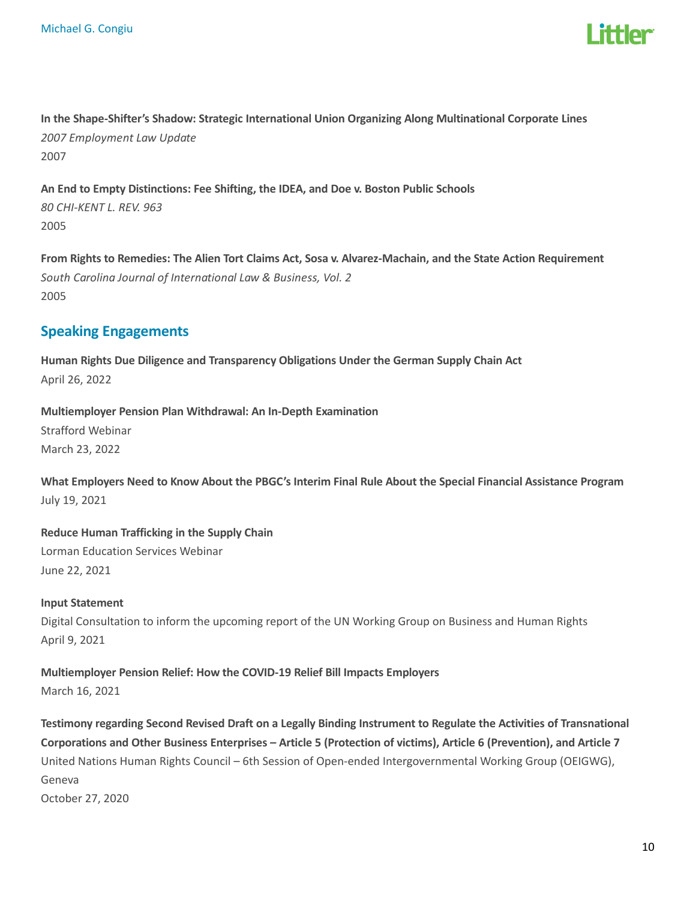

In the Shape-Shifter's Shadow: Strategic International Union Organizing Along Multinational Corporate Lines 2007 Employment Law Update 2007

An End to Empty Distinctions: Fee Shifting, the IDEA, and Doe v. Boston Public Schools 80 CHI-KENT L. REV. 963 2005

From Rights to Remedies: The Alien Tort Claims Act, Sosa v. Alvarez-Machain, and the State Action Requirement South Carolina Journal of International Law & Business, Vol. 2 2005

## Speaking Engagements

Human Rights Due Diligence and Transparency Obligations Under the German Supply Chain Act April 26, 2022

Multiemployer Pension Plan Withdrawal: An In-Depth Examination

Strafford Webinar March 23, 2022

What Employers Need to Know About the PBGC's Interim Final Rule About the Special Financial Assistance Program July 19, 2021

Reduce Human Trafficking in the Supply Chain Lorman Education Services Webinar June 22, 2021

## Input Statement Digital Consultation to inform the upcoming report of the UN Working Group on Business and Human Rights April 9, 2021

## Multiemployer Pension Relief: How the COVID-19 Relief Bill Impacts Employers March 16, 2021

Testimony regarding Second Revised Draft on a Legally Binding Instrument to Regulate the Activities of Transnational Corporations and Other Business Enterprises – Article 5 (Protection of victims), Article 6 (Prevention), and Article 7 United Nations Human Rights Council – 6th Session of Open-ended Intergovernmental Working Group (OEIGWG), Geneva October 27, 2020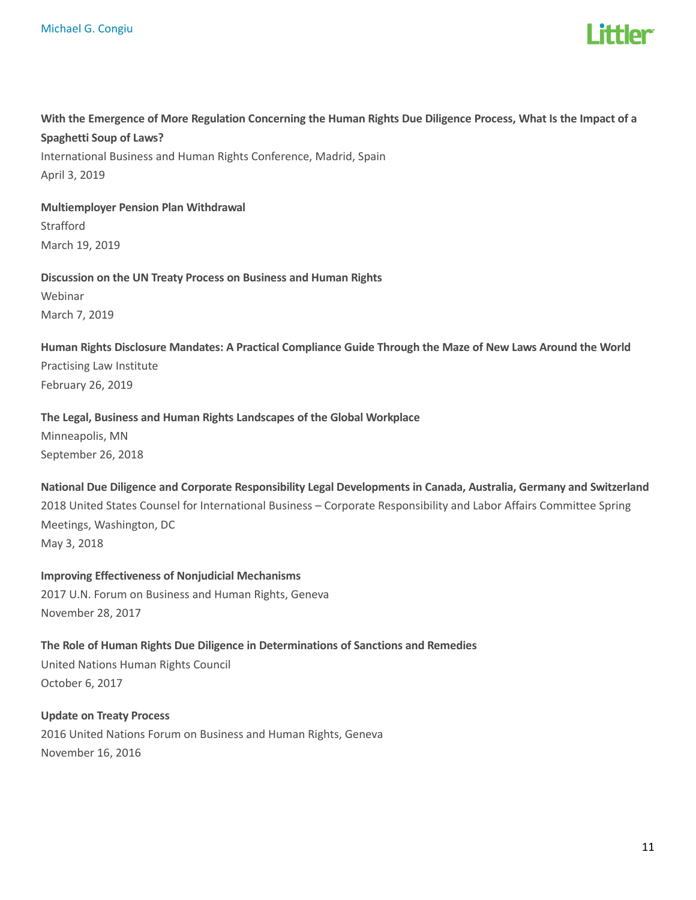

With the Emergence of More Regulation Concerning the Human Rights Due Diligence Process, What Is the Impact of a Spaghetti Soup of Laws? International Business and Human Rights Conference, Madrid, Spain April 3, 2019

Multiemployer Pension Plan Withdrawal

Strafford March 19, 2019

Discussion on the UN Treaty Process on Business and Human Rights

Webinar March 7, 2019

Human Rights Disclosure Mandates: A Practical Compliance Guide Through the Maze of New Laws Around the World Practising Law Institute February 26, 2019

#### The Legal, Business and Human Rights Landscapes of the Global Workplace

Minneapolis, MN September 26, 2018

National Due Diligence and Corporate Responsibility Legal Developments in Canada, Australia, Germany and Switzerland

2018 United States Counsel for International Business – Corporate Responsibility and Labor Affairs Committee Spring Meetings, Washington, DC

May 3, 2018

Improving Effectiveness of Nonjudicial Mechanisms 2017 U.N. Forum on Business and Human Rights, Geneva November 28, 2017

The Role of Human Rights Due Diligence in Determinations of Sanctions and Remedies United Nations Human Rights Council October 6, 2017

Update on Treaty Process 2016 United Nations Forum on Business and Human Rights, Geneva November 16, 2016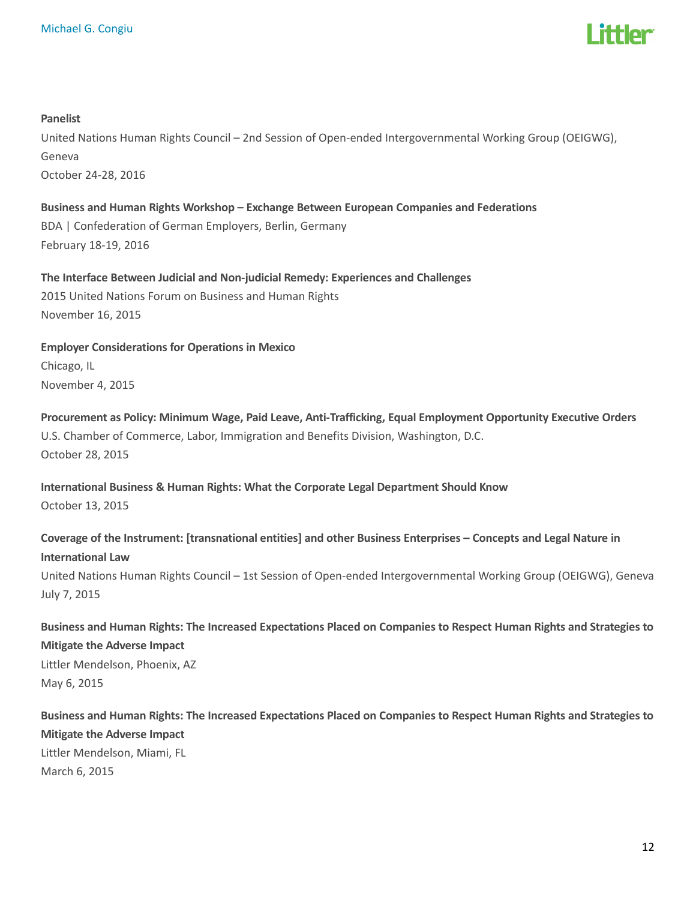

#### Panelist

United Nations Human Rights Council – 2nd Session of Open-ended Intergovernmental Working Group (OEIGWG), Geneva October 24-28, 2016

Business and Human Rights Workshop – Exchange Between European Companies and Federations BDA | Confederation of German Employers, Berlin, Germany February 18-19, 2016

The Interface Between Judicial and Non-judicial Remedy: Experiences and Challenges 2015 United Nations Forum on Business and Human Rights November 16, 2015

Employer Considerations for Operations in Mexico Chicago, IL November 4, 2015

Procurement as Policy: Minimum Wage, Paid Leave, Anti-Trafficking, Equal Employment Opportunity Executive Orders U.S. Chamber of Commerce, Labor, Immigration and Benefits Division, Washington, D.C. October 28, 2015

International Business & Human Rights: What the Corporate Legal Department Should Know October 13, 2015

Coverage of the Instrument: [transnational entities] and other Business Enterprises – Concepts and Legal Nature in International Law

United Nations Human Rights Council – 1st Session of Open-ended Intergovernmental Working Group (OEIGWG), Geneva July 7, 2015

Business and Human Rights: The Increased Expectations Placed on Companies to Respect Human Rights and Strategies to Mitigate the Adverse Impact Littler Mendelson, Phoenix, AZ May 6, 2015

Business and Human Rights: The Increased Expectations Placed on Companies to Respect Human Rights and Strategies to Mitigate the Adverse Impact Littler Mendelson, Miami, FL March 6, 2015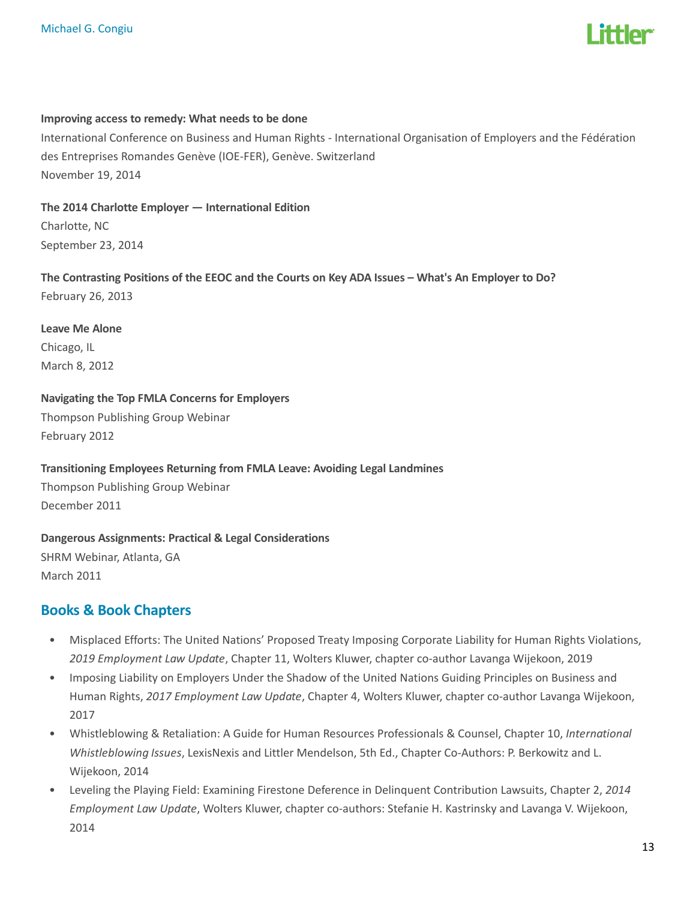

#### Improving access to remedy: What needs to be done

International Conference on Business and Human Rights - International Organisation of Employers and the Fédération des Entreprises Romandes Genève (IOE-FER), Genève. Switzerland November 19, 2014

The 2014 Charlotte Employer — International Edition

Charlotte, NC September 23, 2014

The Contrasting Positions of the EEOC and the Courts on Key ADA Issues – What's An Employer to Do? February 26, 2013

Leave Me Alone Chicago, IL March 8, 2012

Navigating the Top FMLA Concerns for Employers

Thompson Publishing Group Webinar February 2012

Transitioning Employees Returning from FMLA Leave: Avoiding Legal Landmines

Thompson Publishing Group Webinar December 2011

Dangerous Assignments: Practical & Legal Considerations SHRM Webinar, Atlanta, GA March 2011

## Books & Book Chapters

- Misplaced Efforts: The United Nations' Proposed Treaty Imposing Corporate Liability for Human Rights Violations, 2019 Employment Law Update, Chapter 11, Wolters Kluwer, chapter co-author Lavanga Wijekoon, 2019
- Imposing Liability on Employers Under the Shadow of the United Nations Guiding Principles on Business and Human Rights, 2017 Employment Law Update, Chapter 4, Wolters Kluwer, chapter co-author Lavanga Wijekoon, 2017
- Whistleblowing & Retaliation: A Guide for Human Resources Professionals & Counsel, Chapter 10, International Whistleblowing Issues, LexisNexis and Littler Mendelson, 5th Ed., Chapter Co-Authors: P. Berkowitz and L. Wijekoon, 2014
- Leveling the Playing Field: Examining Firestone Deference in Delinquent Contribution Lawsuits, Chapter 2, 2014 Employment Law Update, Wolters Kluwer, chapter co-authors: Stefanie H. Kastrinsky and Lavanga V. Wijekoon, 2014